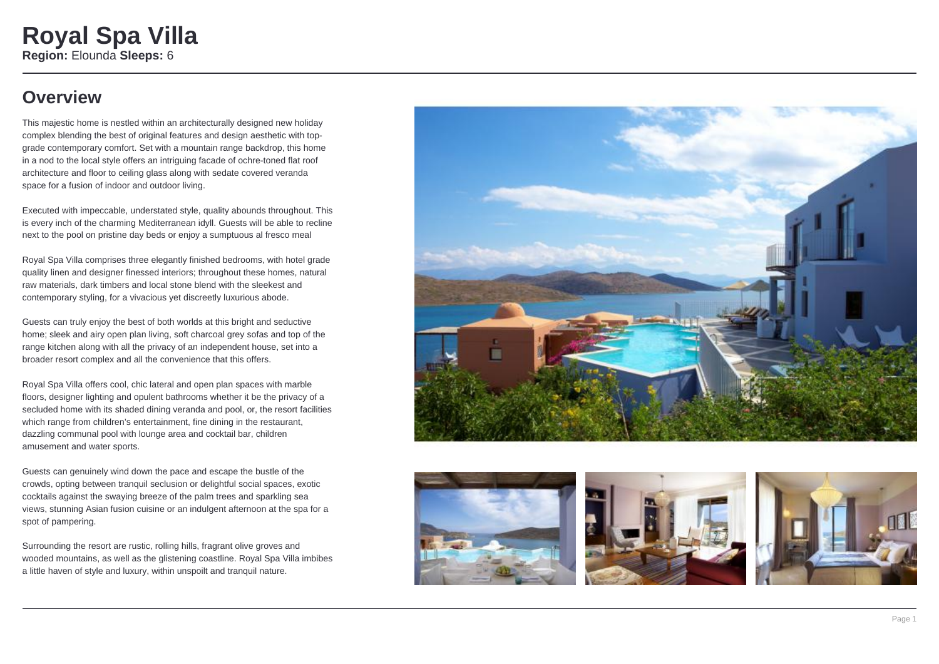### **Overview**

This majestic home is nestled within an architecturally designed new holiday complex blending the best of original features and design aesthetic with topgrade contemporary comfort. Set with a mountain range backdrop, this home in a nod to the local style offers an intriguing facade of ochre-toned flat roof architecture and floor to ceiling glass along with sedate covered veranda space for a fusion of indoor and outdoor living.

Executed with impeccable, understated style, quality abounds throughout. This is every inch of the charming Mediterranean idyll. Guests will be able to recline next to the pool on pristine day beds or enjoy a sumptuous al fresco meal

Royal Spa Villa comprises three elegantly finished bedrooms, with hotel grade quality linen and designer finessed interiors; throughout these homes, natural raw materials, dark timbers and local stone blend with the sleekest and contemporary styling, for a vivacious yet discreetly luxurious abode.

Guests can truly enjoy the best of both worlds at this bright and seductive home; sleek and airy open plan living, soft charcoal grey sofas and top of the range kitchen along with all the privacy of an independent house, set into a broader resort complex and all the convenience that this offers.

Royal Spa Villa offers cool, chic lateral and open plan spaces with marble floors, designer lighting and opulent bathrooms whether it be the privacy of a secluded home with its shaded dining veranda and pool, or, the resort facilities which range from children's entertainment, fine dining in the restaurant, dazzling communal pool with lounge area and cocktail bar, children amusement and water sports.

Guests can genuinely wind down the pace and escape the bustle of the crowds, opting between tranquil seclusion or delightful social spaces, exotic cocktails against the swaying breeze of the palm trees and sparkling sea views, stunning Asian fusion cuisine or an indulgent afternoon at the spa for a spot of pampering.

Surrounding the resort are rustic, rolling hills, fragrant olive groves and wooded mountains, as well as the glistening coastline. Royal Spa Villa imbibes a little haven of style and luxury, within unspoilt and tranquil nature.







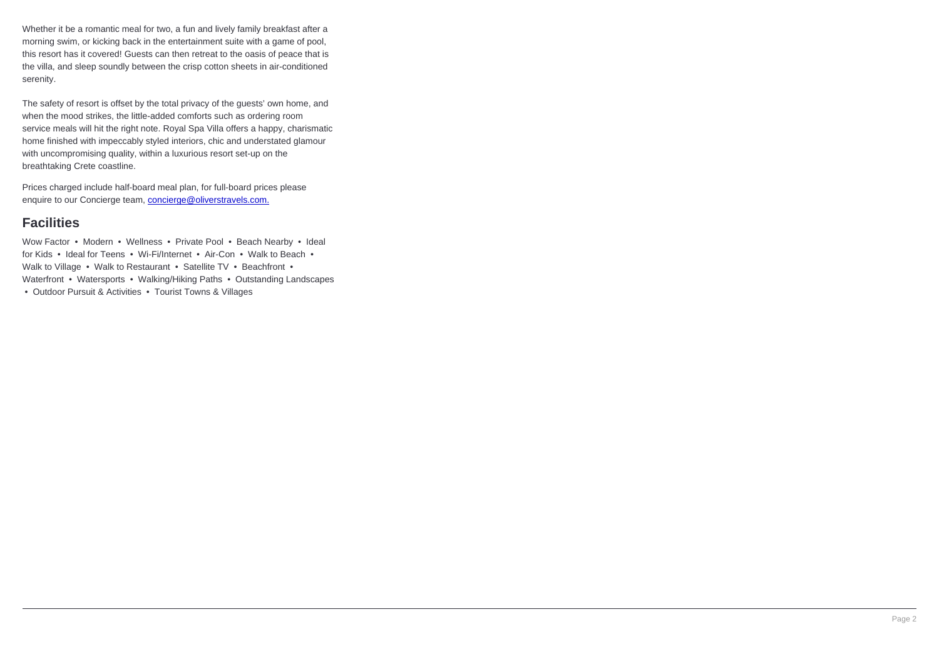Whether it be a romantic meal for two, a fun and lively family breakfast after a morning swim, or kicking back in the entertainment suite with a game of pool, this resort has it covered! Guests can then retreat to the oasis of peace that is the villa, and sleep soundly between the crisp cotton sheets in air-conditioned serenity.

The safety of resort is offset by the total privacy of the guests' own home, and when the mood strikes, the little-added comforts such as ordering room service meals will hit the right note. Royal Spa Villa offers a happy, charismatic home finished with impeccably styled interiors, chic and understated glamour with uncompromising quality, within a luxurious resort set-up on the breathtaking Crete coastline.

Prices charged include half-board meal plan, for full-board prices please enquire to our Concierge team, **concierge@oliverstravels.com.** 

#### **Facilities**

Wow Factor • Modern • Wellness • Private Pool • Beach Nearby • Ideal for Kids • Ideal for Teens • Wi-Fi/Internet • Air-Con • Walk to Beach • Walk to Village • Walk to Restaurant • Satellite TV • Beachfront • Waterfront • Watersports • Walking/Hiking Paths • Outstanding Landscapes • Outdoor Pursuit & Activities • Tourist Towns & Villages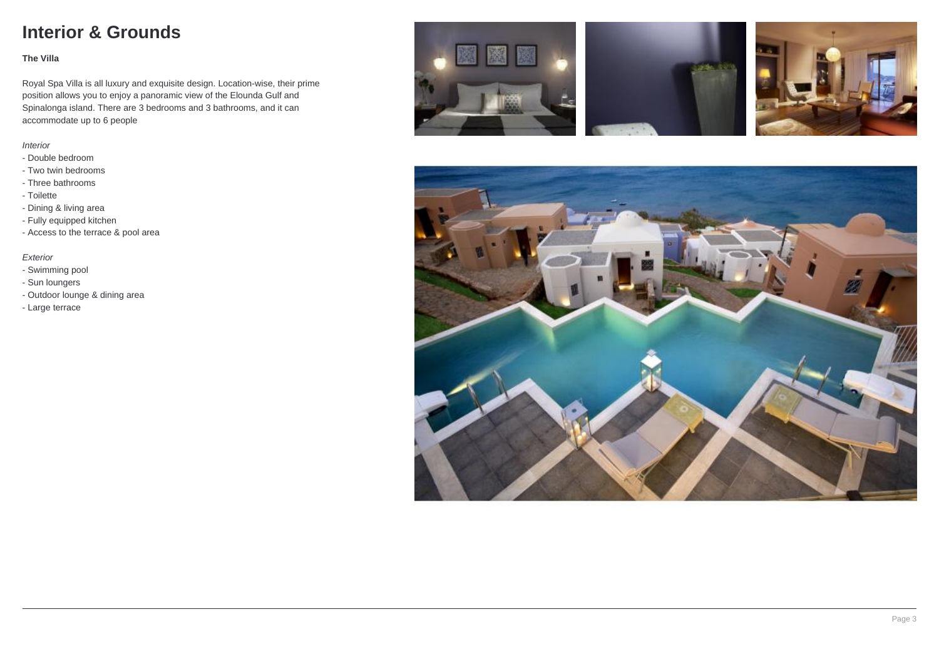### **Interior & Grounds**

#### **The Villa**

Royal Spa Villa is all luxury and exquisite design. Location-wise, their prime position allows you to enjoy a panoramic view of the Elounda Gulf and Spinalonga island. There are 3 bedrooms and 3 bathrooms, and it can accommodate up to 6 people

#### Interior

- Double bedroom
- Two twin bedrooms
- Three bathrooms
- Toilette
- Dining & living area
- Fully equipped kitchen
- Access to the terrace & pool area

#### Exterior

- Swimming pool
- Sun loungers
- Outdoor lounge & dining area
- Large terrace







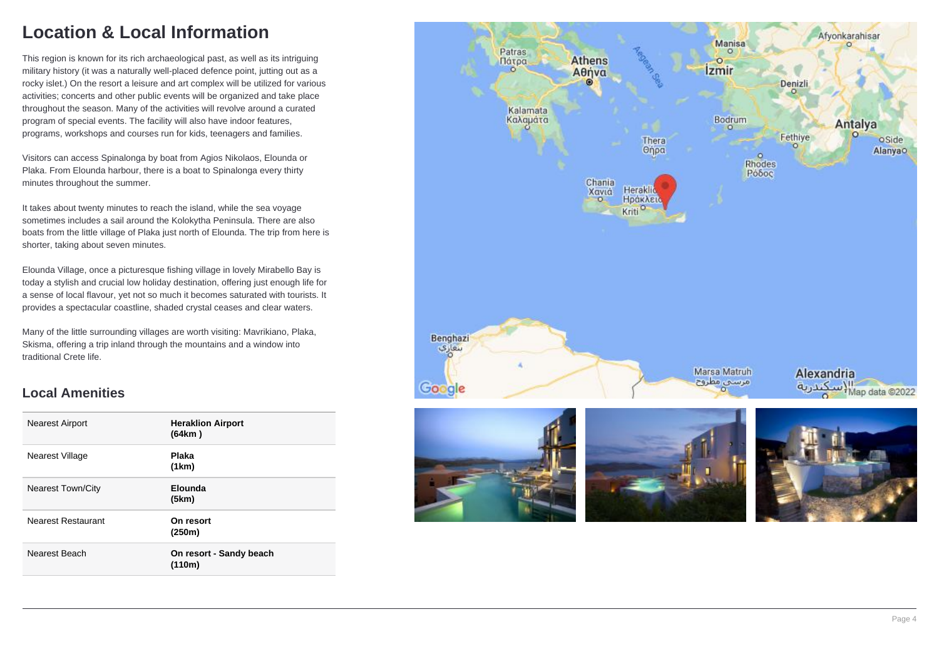## **Location & Local Information**

This region is known for its rich archaeological past, as well as its intriguing military history (it was a naturally well-placed defence point, jutting out as a rocky islet.) On the resort a leisure and art complex will be utilized for various activities; concerts and other public events will be organized and take place throughout the season. Many of the activities will revolve around a curated program of special events. The facility will also have indoor features, programs, workshops and courses run for kids, teenagers and families.

Visitors can access Spinalonga by boat from Agios Nikolaos, Elounda or Plaka. From Elounda harbour, there is a boat to Spinalonga every thirty minutes throughout the summer.

It takes about twenty minutes to reach the island, while the sea voyage sometimes includes a sail around the Kolokytha Peninsula. There are also boats from the little village of Plaka just north of Elounda. The trip from here is shorter, taking about seven minutes.

Elounda Village, once a picturesque fishing village in lovely Mirabello Bay is today a stylish and crucial low holiday destination, offering just enough life for a sense of local flavour, yet not so much it becomes saturated with tourists. It provides a spectacular coastline, shaded crystal ceases and clear waters.

Many of the little surrounding villages are worth visiting: Mavrikiano, Plaka, Skisma, offering a trip inland through the mountains and a window into traditional Crete life.

#### **Local Amenities**

| <b>Nearest Airport</b>    | <b>Heraklion Airport</b><br>(64km) |
|---------------------------|------------------------------------|
| Nearest Village           | <b>Plaka</b><br>(1km)              |
| <b>Nearest Town/City</b>  | Elounda<br>(5km)                   |
| <b>Nearest Restaurant</b> | On resort<br>(250m)                |
| Nearest Beach             | On resort - Sandy beach<br>(110m)  |

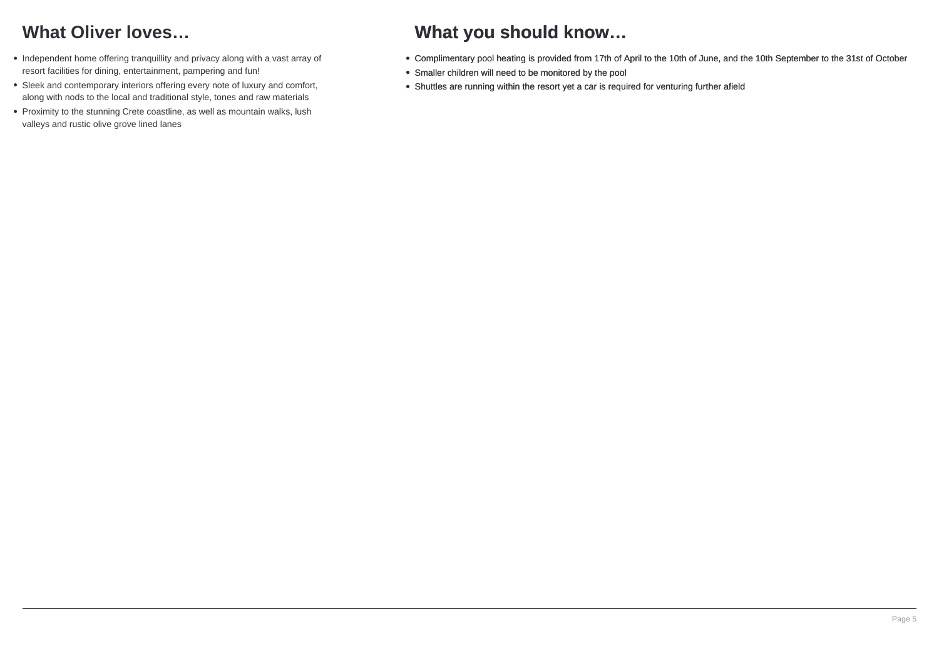## **What Oliver loves…**

- Independent home offering tranquillity and privacy along with a vast array of resort facilities for dining, entertainment, pampering and fun!
- Sleek and contemporary interiors offering every note of luxury and comfort, along with nods to the local and traditional style, tones and raw materials
- Proximity to the stunning Crete coastline, as well as mountain walks, lush valleys and rustic olive grove lined lanes

### **What you should know…**

- Complimentary pool heating is provided from 17th of April to the 10th of June, and the 10th September to the 31st of October
- Smaller children will need to be monitored by the pool
- Shuttles are running within the resort yet a car is required for venturing further afield